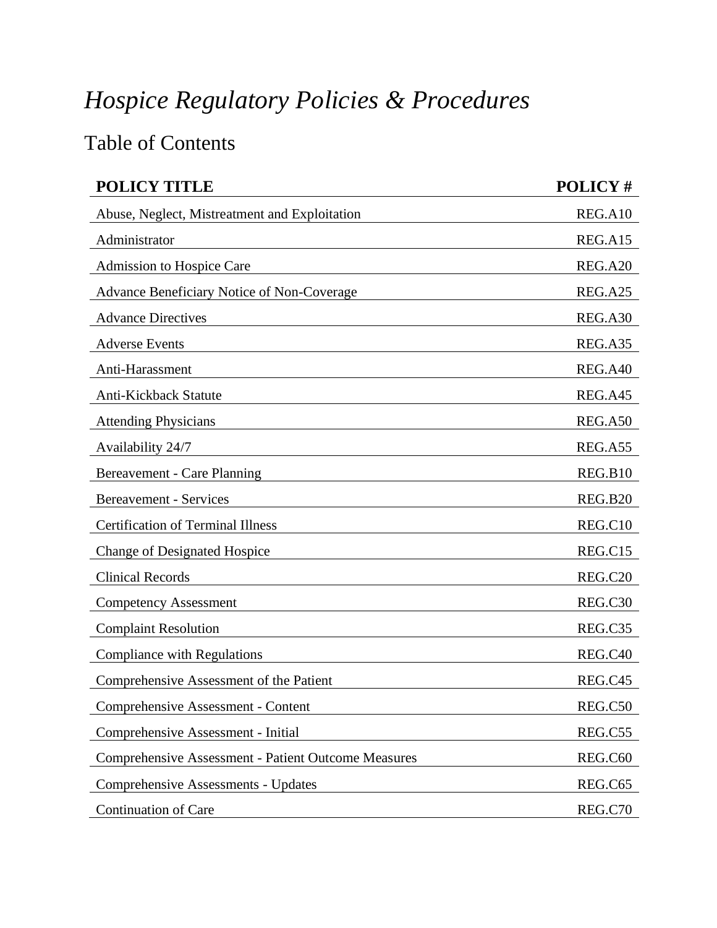## *Hospice Regulatory Policies & Procedures*

## Table of Contents

| <b>POLICY TITLE</b>                                        | POLICY#             |
|------------------------------------------------------------|---------------------|
| Abuse, Neglect, Mistreatment and Exploitation              | REG.A10             |
| Administrator                                              | REG.A15             |
| Admission to Hospice Care                                  | REG.A20             |
| Advance Beneficiary Notice of Non-Coverage                 | REG.A25             |
| <b>Advance Directives</b>                                  | REG.A30             |
| <b>Adverse Events</b>                                      | REG.A35             |
| Anti-Harassment                                            | REG.A40             |
| Anti-Kickback Statute                                      | REG.A45             |
| <b>Attending Physicians</b>                                | REG.A50             |
| Availability 24/7                                          | REG.A55             |
| Bereavement - Care Planning                                | REG.B10             |
| <b>Bereavement - Services</b>                              | <b>REG.B20</b>      |
| <b>Certification of Terminal Illness</b>                   | REG.C10             |
| <b>Change of Designated Hospice</b>                        | REG.C15             |
| <b>Clinical Records</b>                                    | REG.C <sub>20</sub> |
| <b>Competency Assessment</b>                               | REG.C30             |
| <b>Complaint Resolution</b>                                | REG.C35             |
| <b>Compliance with Regulations</b>                         | REG.C40             |
| Comprehensive Assessment of the Patient                    | REG.C45             |
| Comprehensive Assessment - Content                         | REG.C50             |
| Comprehensive Assessment - Initial                         | REG.C55             |
| <b>Comprehensive Assessment - Patient Outcome Measures</b> | REG.C60             |
| <b>Comprehensive Assessments - Updates</b>                 | REG.C65             |
| <b>Continuation of Care</b>                                | REG.C70             |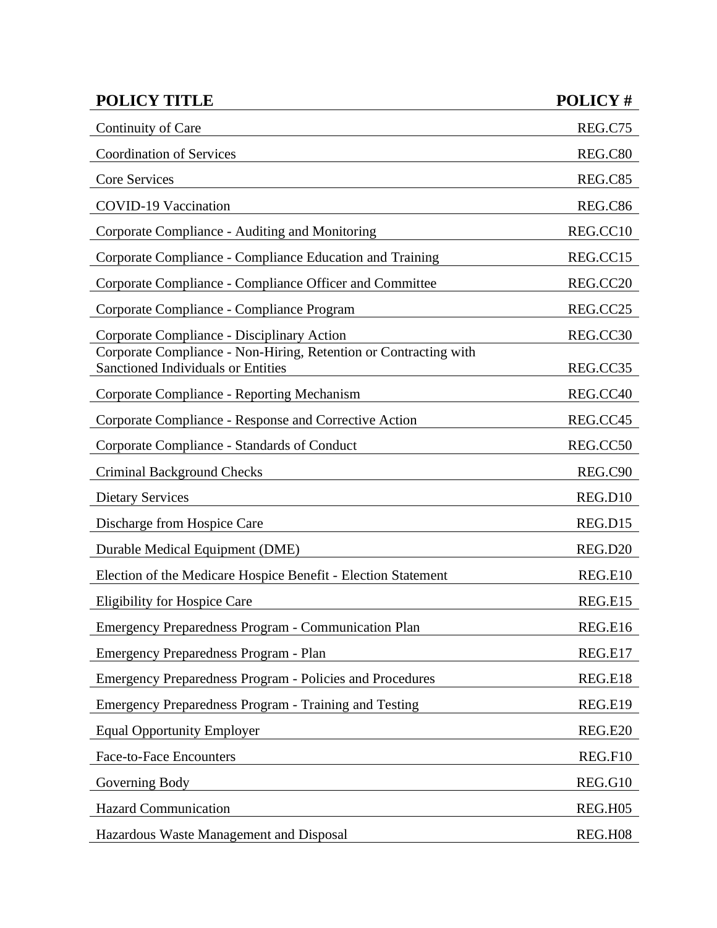| <b>POLICY TITLE</b>                                                                                           | POLICY#  |
|---------------------------------------------------------------------------------------------------------------|----------|
| Continuity of Care                                                                                            | REG.C75  |
| <b>Coordination of Services</b>                                                                               | REG.C80  |
| Core Services                                                                                                 | REG.C85  |
| <b>COVID-19 Vaccination</b>                                                                                   | REG.C86  |
| Corporate Compliance - Auditing and Monitoring                                                                | REG.CC10 |
| Corporate Compliance - Compliance Education and Training                                                      | REG.CC15 |
| Corporate Compliance - Compliance Officer and Committee                                                       | REG.CC20 |
| Corporate Compliance - Compliance Program                                                                     | REG.CC25 |
| Corporate Compliance - Disciplinary Action                                                                    | REG.CC30 |
| Corporate Compliance - Non-Hiring, Retention or Contracting with<br><b>Sanctioned Individuals or Entities</b> | REG.CC35 |
| Corporate Compliance - Reporting Mechanism                                                                    | REG.CC40 |
| Corporate Compliance - Response and Corrective Action                                                         | REG.CC45 |
| Corporate Compliance - Standards of Conduct                                                                   | REG.CC50 |
| Criminal Background Checks                                                                                    | REG.C90  |
| <b>Dietary Services</b>                                                                                       | REG.D10  |
| Discharge from Hospice Care                                                                                   | REG.D15  |
| Durable Medical Equipment (DME)                                                                               | REG.D20  |
| Election of the Medicare Hospice Benefit - Election Statement                                                 | REG.E10  |
| <b>Eligibility for Hospice Care</b>                                                                           | REG.E15  |
| <b>Emergency Preparedness Program - Communication Plan</b>                                                    | REG.E16  |
| Emergency Preparedness Program - Plan                                                                         | REG.E17  |
| <b>Emergency Preparedness Program - Policies and Procedures</b>                                               | REG.E18  |
| Emergency Preparedness Program - Training and Testing                                                         | REG.E19  |
| <b>Equal Opportunity Employer</b>                                                                             | REG.E20  |
| <b>Face-to-Face Encounters</b>                                                                                | REG.F10  |
| Governing Body                                                                                                | REG.G10  |
| <b>Hazard Communication</b>                                                                                   | REG.H05  |
| Hazardous Waste Management and Disposal                                                                       | REG.H08  |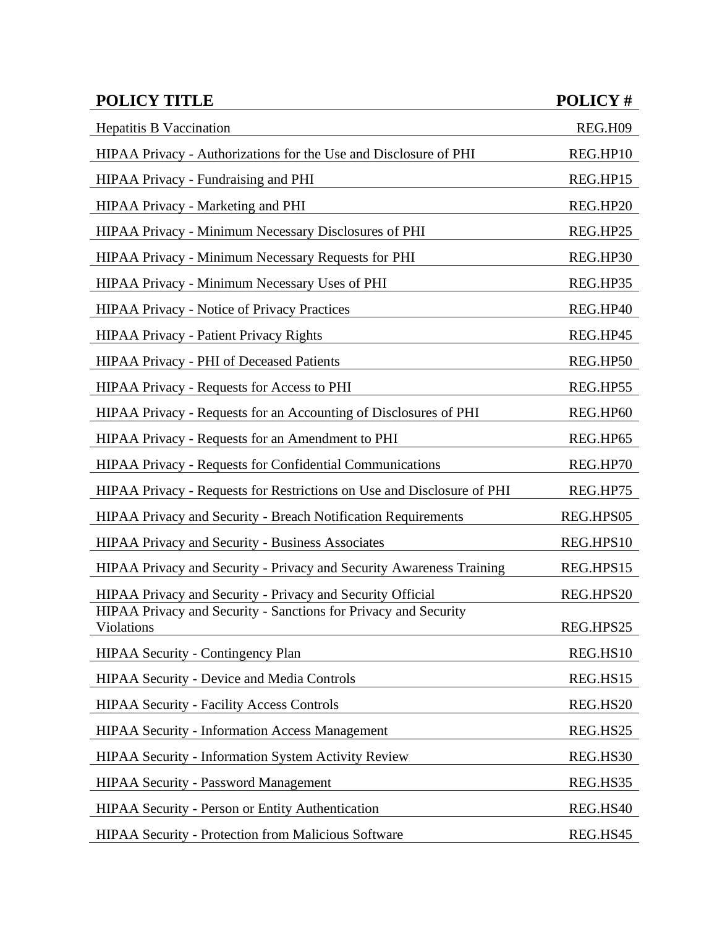| <b>POLICY TITLE</b>                                                           | POLICY#   |
|-------------------------------------------------------------------------------|-----------|
| <b>Hepatitis B Vaccination</b>                                                | REG.H09   |
| HIPAA Privacy - Authorizations for the Use and Disclosure of PHI              | REG.HP10  |
| HIPAA Privacy - Fundraising and PHI                                           | REG.HP15  |
| HIPAA Privacy - Marketing and PHI                                             | REG.HP20  |
| HIPAA Privacy - Minimum Necessary Disclosures of PHI                          | REG.HP25  |
| HIPAA Privacy - Minimum Necessary Requests for PHI                            | REG.HP30  |
| HIPAA Privacy - Minimum Necessary Uses of PHI                                 | REG.HP35  |
| HIPAA Privacy - Notice of Privacy Practices                                   | REG.HP40  |
| <b>HIPAA Privacy - Patient Privacy Rights</b>                                 | REG.HP45  |
| <b>HIPAA Privacy - PHI of Deceased Patients</b>                               | REG.HP50  |
| <b>HIPAA Privacy - Requests for Access to PHI</b>                             | REG.HP55  |
| HIPAA Privacy - Requests for an Accounting of Disclosures of PHI              | REG.HP60  |
| HIPAA Privacy - Requests for an Amendment to PHI                              | REG.HP65  |
| HIPAA Privacy - Requests for Confidential Communications                      | REG.HP70  |
| HIPAA Privacy - Requests for Restrictions on Use and Disclosure of PHI        | REG.HP75  |
| <b>HIPAA Privacy and Security - Breach Notification Requirements</b>          | REG.HPS05 |
| HIPAA Privacy and Security - Business Associates                              | REG.HPS10 |
| HIPAA Privacy and Security - Privacy and Security Awareness Training          | REG.HPS15 |
| HIPAA Privacy and Security - Privacy and Security Official                    | REG.HPS20 |
| HIPAA Privacy and Security - Sanctions for Privacy and Security<br>Violations | REG.HPS25 |
| <b>HIPAA Security - Contingency Plan</b>                                      | REG.HS10  |
| HIPAA Security - Device and Media Controls                                    | REG.HS15  |
| <b>HIPAA Security - Facility Access Controls</b>                              | REG.HS20  |
| <b>HIPAA Security - Information Access Management</b>                         | REG.HS25  |
| HIPAA Security - Information System Activity Review                           | REG.HS30  |
| <b>HIPAA Security - Password Management</b>                                   | REG.HS35  |
| <b>HIPAA Security - Person or Entity Authentication</b>                       | REG.HS40  |
| HIPAA Security - Protection from Malicious Software                           | REG.HS45  |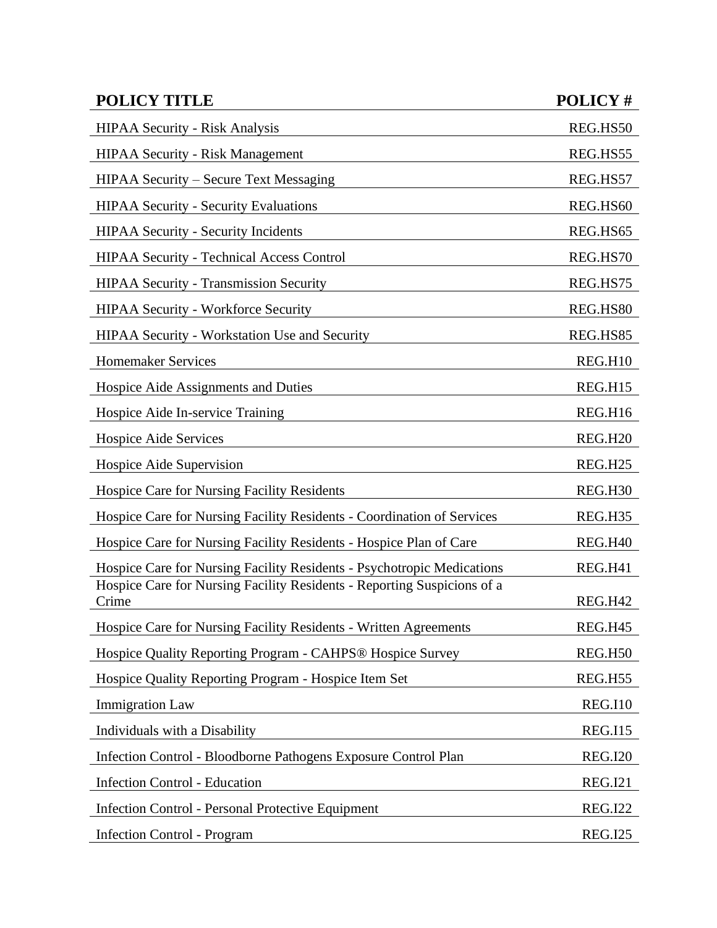| <b>POLICY TITLE</b>                                                              | POLICY#        |
|----------------------------------------------------------------------------------|----------------|
| <b>HIPAA Security - Risk Analysis</b>                                            | REG.HS50       |
| <b>HIPAA Security - Risk Management</b>                                          | REG.HS55       |
| <b>HIPAA Security – Secure Text Messaging</b>                                    | REG.HS57       |
| <b>HIPAA Security - Security Evaluations</b>                                     | REG.HS60       |
| <b>HIPAA Security - Security Incidents</b>                                       | REG.HS65       |
| <b>HIPAA Security - Technical Access Control</b>                                 | REG.HS70       |
| <b>HIPAA Security - Transmission Security</b>                                    | REG.HS75       |
| <b>HIPAA Security - Workforce Security</b>                                       | REG.HS80       |
| <b>HIPAA Security - Workstation Use and Security</b>                             | REG.HS85       |
| <b>Homemaker Services</b>                                                        | REG.H10        |
| Hospice Aide Assignments and Duties                                              | REG.H15        |
| Hospice Aide In-service Training                                                 | REG.H16        |
| Hospice Aide Services                                                            | <b>REG.H20</b> |
| Hospice Aide Supervision                                                         | <b>REG.H25</b> |
| Hospice Care for Nursing Facility Residents                                      | REG.H30        |
| Hospice Care for Nursing Facility Residents - Coordination of Services           | REG.H35        |
| Hospice Care for Nursing Facility Residents - Hospice Plan of Care               | REG.H40        |
| Hospice Care for Nursing Facility Residents - Psychotropic Medications           | REG.H41        |
| Hospice Care for Nursing Facility Residents - Reporting Suspicions of a<br>Crime | REG.H42        |
| Hospice Care for Nursing Facility Residents - Written Agreements                 | <b>REG.H45</b> |
| Hospice Quality Reporting Program - CAHPS® Hospice Survey                        | REG.H50        |
| Hospice Quality Reporting Program - Hospice Item Set                             | REG.H55        |
| <b>Immigration Law</b>                                                           | <b>REG.I10</b> |
| Individuals with a Disability                                                    | <b>REG.I15</b> |
| Infection Control - Bloodborne Pathogens Exposure Control Plan                   | <b>REG.I20</b> |
| <b>Infection Control - Education</b>                                             | <b>REG.I21</b> |
| <b>Infection Control - Personal Protective Equipment</b>                         | <b>REG.I22</b> |
| <b>Infection Control - Program</b>                                               | <b>REG.I25</b> |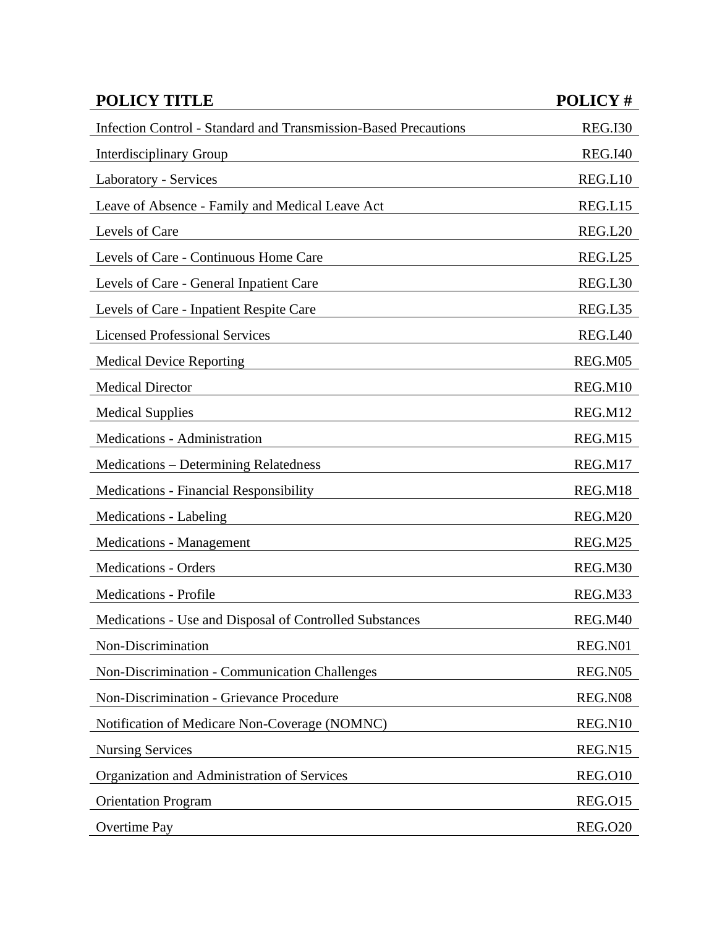| <b>POLICY TITLE</b>                                             | POLICY#        |
|-----------------------------------------------------------------|----------------|
| Infection Control - Standard and Transmission-Based Precautions | <b>REG.I30</b> |
| <b>Interdisciplinary Group</b>                                  | <b>REG.I40</b> |
| Laboratory - Services                                           | REG.L10        |
| Leave of Absence - Family and Medical Leave Act                 | REG.L15        |
| Levels of Care                                                  | REG.L20        |
| Levels of Care - Continuous Home Care                           | REG.L25        |
| Levels of Care - General Inpatient Care                         | REG.L30        |
| Levels of Care - Inpatient Respite Care                         | REG.L35        |
| <b>Licensed Professional Services</b>                           | REG.L40        |
| <b>Medical Device Reporting</b>                                 | REG.M05        |
| <b>Medical Director</b>                                         | REG.M10        |
| <b>Medical Supplies</b>                                         | REG.M12        |
| Medications - Administration                                    | REG.M15        |
| <b>Medications – Determining Relatedness</b>                    | REG.M17        |
| <b>Medications - Financial Responsibility</b>                   | REG.M18        |
| <b>Medications - Labeling</b>                                   | REG.M20        |
| <b>Medications - Management</b>                                 | REG.M25        |
| <b>Medications - Orders</b>                                     | REG.M30        |
| <b>Medications - Profile</b>                                    | REG.M33        |
| Medications - Use and Disposal of Controlled Substances         | REG.M40        |
| Non-Discrimination                                              | REG.N01        |
| Non-Discrimination - Communication Challenges                   | REG.N05        |
| Non-Discrimination - Grievance Procedure                        | REG.N08        |
| Notification of Medicare Non-Coverage (NOMNC)                   | REG.N10        |
| <b>Nursing Services</b>                                         | REG.N15        |
| Organization and Administration of Services                     | <b>REG.O10</b> |
| <b>Orientation Program</b>                                      | <b>REG.015</b> |
| <b>Overtime Pay</b>                                             | <b>REG.020</b> |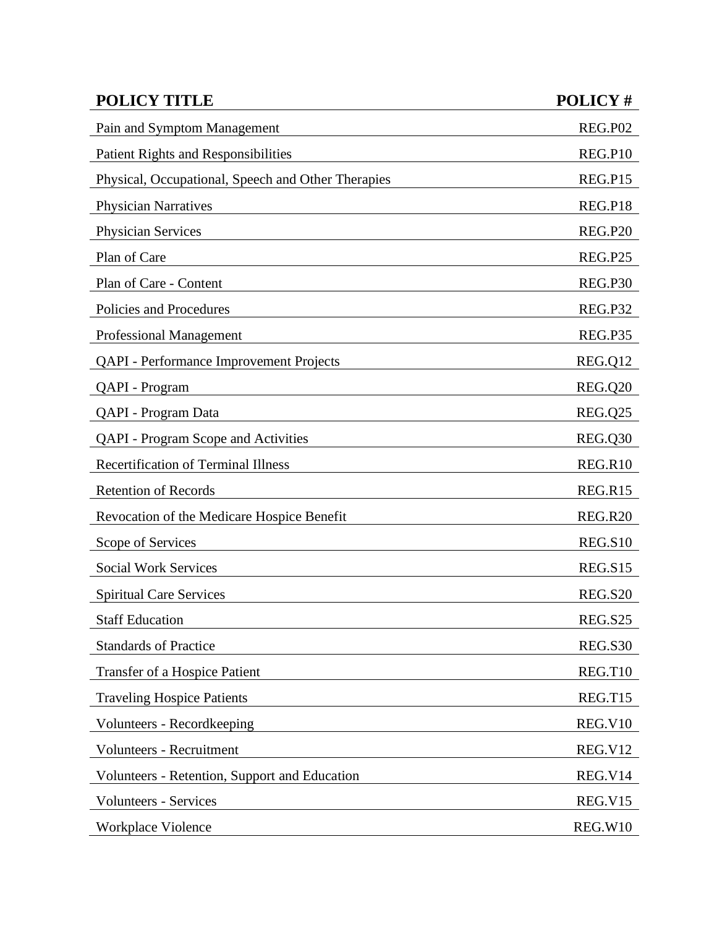| <b>POLICY TITLE</b>                                | POLICY#        |
|----------------------------------------------------|----------------|
| Pain and Symptom Management                        | <b>REG.P02</b> |
| <b>Patient Rights and Responsibilities</b>         | REG.P10        |
| Physical, Occupational, Speech and Other Therapies | <b>REG.P15</b> |
| <b>Physician Narratives</b>                        | REG.P18        |
| <b>Physician Services</b>                          | <b>REG.P20</b> |
| Plan of Care                                       | <b>REG.P25</b> |
| Plan of Care - Content                             | REG.P30        |
| Policies and Procedures                            | REG.P32        |
| Professional Management                            | REG.P35        |
| <b>QAPI</b> - Performance Improvement Projects     | REG.Q12        |
| QAPI - Program                                     | REG.Q20        |
| QAPI - Program Data                                | REG.Q25        |
| <b>QAPI</b> - Program Scope and Activities         | REG.Q30        |
| <b>Recertification of Terminal Illness</b>         | REG.R10        |
| <b>Retention of Records</b>                        | REG.R15        |
| Revocation of the Medicare Hospice Benefit         | <b>REG.R20</b> |
| Scope of Services                                  | <b>REG.S10</b> |
| <b>Social Work Services</b>                        | <b>REG.S15</b> |
| <b>Spiritual Care Services</b>                     | <b>REG.S20</b> |
| <b>Staff Education</b>                             | <b>REG.S25</b> |
| <b>Standards of Practice</b>                       | <b>REG.S30</b> |
| <b>Transfer of a Hospice Patient</b>               | REG.T10        |
| <b>Traveling Hospice Patients</b>                  | REG.T15        |
| Volunteers - Recordkeeping                         | REG.V10        |
| Volunteers - Recruitment                           | <b>REG.V12</b> |
| Volunteers - Retention, Support and Education      | REG.V14        |
| <b>Volunteers - Services</b>                       | REG.V15        |
| Workplace Violence                                 | REG.W10        |